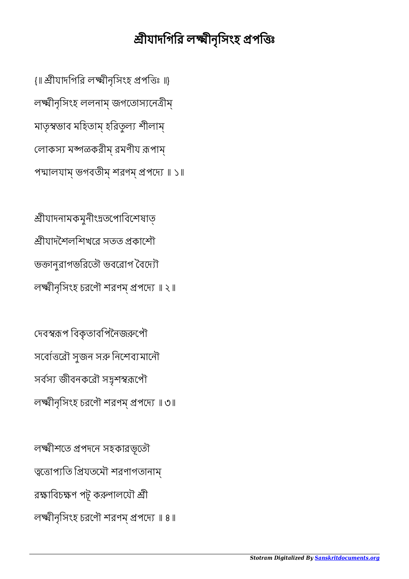## শ্রীযাদগিরি লক্ষ্মীনৃসিংহ প্রপত্তিঃ

{॥ শ্রীযাদগিরি লক্ষ্মীনৃসিংহ প্রপত্তিঃ ॥} লীনৃিসংহ ললনাম্ জগেতাসেনীম্ মাতৃস্বভাব মহিতাম্ হরিতূল্য শীলাম্ লোকস্য মঙ্গळকরীম্ রমণীয রূপাম্ পদ্মালযাম্ ভগবতীম্ শরণম্ প্রপদ্যে ॥ ১॥

ীযাদনামকমুনীংতেপািবেশষাত্ ীযাদৈশলিশখের সতত কােশৗ ভজানুরাগভরিতৌ ভবরোগ বৈদ্যৌ লক্ষ্মীনৃসিংহ চরণৌ শরণম্ প্রপদ্যে ॥ ২॥

দেবস্বরূপ বিকৃতাবপিনৈজরুপৌ সর্বোত্তরৌ সুজন সরু নিশেব্যমানৌ সর্বস্য জীবনকরৌ সদুশস্বরূপৌ লক্ষ্মীনৃসিংহ চরণৌ শরণম প্রপদ্যে ॥ ৩॥

লক্ষ্মীশতে প্রপদনে সহকারভূতৌ ত্বতোপ্যতি প্রিযতমৌ শরণাগতানাম্ রক্ষাবিচক্ষণ পটূ করুণালযৌ শ্রী লক্ষ্মীনৃসিংহ চরণৌ শরণম্ প্রপদ্যে ॥ ৪॥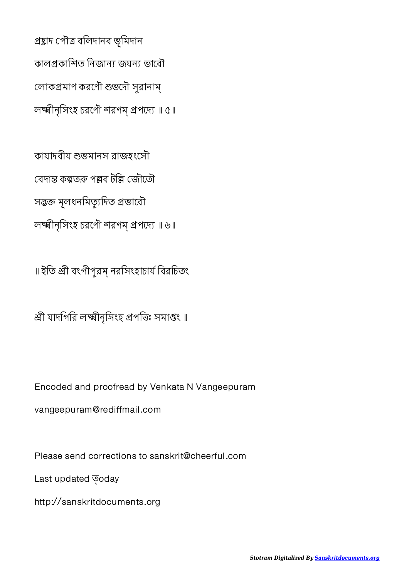প্ৰয়াদ পৌত্ৰ বলিদানব ভূমিদান কালপ্ৰকাশিত নিজান্য জঘন্য ভাবৌ লোকপ্রমাণ করণৌ শুভদৌ সুরানাম্ লক্ষ্মীনৃসিংহ চরণৌ শরণম প্রপদ্যে ॥ ৫॥

কাযাদবীয ভমানস রাজহংেসৗ বেদান্ত কল্পতক পল্লব টল্লি জৌতৌ সদ্ভক্ত মূলধনমিত্যুদিত প্ৰভাবৌ লক্ষ্মীনৃসিংহ চরণৌ শরণম্ প্রপদ্যে ॥ ৬॥

॥ ইতি শ্রী বংগীপুরম্ নরসিংহাচার্য বিরচিতং

শ্রী যাদগিরি লক্ষ্মীনৃসিংহ প্রপত্তিঃ সমাপ্তং ॥

Encoded and proofread by Venkata N Vangeepuram

vangeepuram@rediffmail.com

Please send corrections to sanskrit@cheerful.com

Last updated  $\overline{\circ}$ oday

http://sanskritdocuments.org